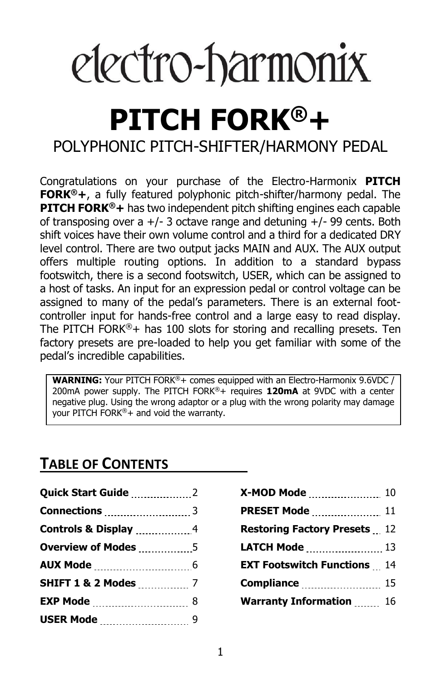# electro-harmonix

## **PITCH FORK®+** POLYPHONIC PITCH-SHIFTER/HARMONY PEDAL

Congratulations on your purchase of the Electro-Harmonix **PITCH FORK®+**, a fully featured polyphonic pitch-shifter/harmony pedal. The **PITCH FORK®+** has two independent pitch shifting engines each capable of transposing over a  $+/-$  3 octave range and detuning  $+/-$  99 cents. Both shift voices have their own volume control and a third for a dedicated DRY level control. There are two output jacks MAIN and AUX. The AUX output offers multiple routing options. In addition to a standard bypass footswitch, there is a second footswitch, USER, which can be assigned to a host of tasks. An input for an expression pedal or control voltage can be assigned to many of the pedal's parameters. There is an external footcontroller input for hands-free control and a large easy to read display. The PITCH FORK®+ has 100 slots for storing and recalling presets. Ten factory presets are pre-loaded to help you get familiar with some of the pedal's incredible capabilities.

**WARNING:** Your PITCH FORK®+ comes equipped with an Electro-Harmonix 9.6VDC / 200mA power supply. The PITCH FORK®+ requires **120mA** at 9VDC with a center negative plug. Using the wrong adaptor or a plug with the wrong polarity may damage your PITCH FORK®+ and void the warranty.

## **TABLE OF CONTENTS**

| Quick Start Guide 2             |  |
|---------------------------------|--|
|                                 |  |
|                                 |  |
|                                 |  |
|                                 |  |
| <b>SHIFT 1 &amp; 2 Modes </b> 7 |  |
|                                 |  |
|                                 |  |

| X-MOD Mode  10                      |  |
|-------------------------------------|--|
| <b>PRESET Mode </b> 11              |  |
| <b>Restoring Factory Presets</b> 12 |  |
| LATCH Mode  13                      |  |
| <b>EXT Footswitch Functions</b> 14  |  |
| <b>Compliance</b> 15                |  |
| <b>Warranty Information  16</b>     |  |
|                                     |  |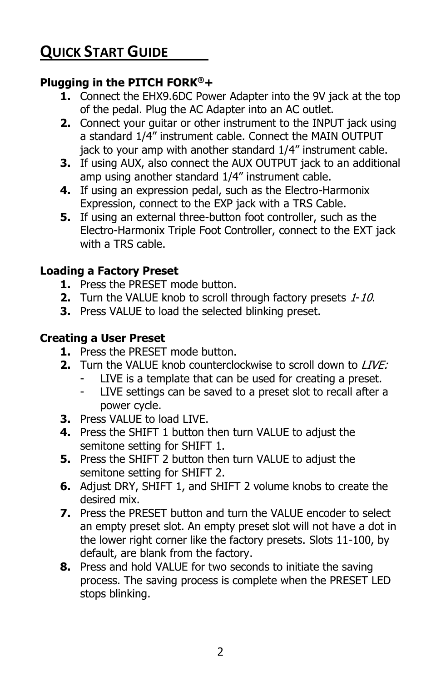## **QUICK START GUIDE**

#### **Plugging in the PITCH FORK®+**

- **1.** Connect the EHX9.6DC Power Adapter into the 9V jack at the top of the pedal. Plug the AC Adapter into an AC outlet.
- **2.** Connect your guitar or other instrument to the INPUT jack using a standard 1/4" instrument cable. Connect the MAIN OUTPUT jack to your amp with another standard 1/4" instrument cable.
- **3.** If using AUX, also connect the AUX OUTPUT jack to an additional amp using another standard 1/4" instrument cable.
- **4.** If using an expression pedal, such as the Electro-Harmonix Expression, connect to the EXP jack with a TRS Cable.
- **5.** If using an external three-button foot controller, such as the Electro-Harmonix Triple Foot Controller, connect to the EXT jack with a TRS cable.

#### **Loading a Factory Preset**

- **1.** Press the PRESET mode button.
- **2.** Turn the VALUE knob to scroll through factory presets 1-10.
- **3.** Press VALUE to load the selected blinking preset.

#### **Creating a User Preset**

- **1.** Press the PRESET mode button.
- **2.** Turn the VALUE knob counterclockwise to scroll down to LIVE:
	- LIVE is a template that can be used for creating a preset.
	- LIVE settings can be saved to a preset slot to recall after a power cycle.
- **3.** Press VALUE to load LIVE.
- **4.** Press the SHIFT 1 button then turn VALUE to adjust the semitone setting for SHIFT 1.
- **5.** Press the SHIFT 2 button then turn VALUE to adjust the semitone setting for SHIFT 2.
- **6.** Adjust DRY, SHIFT 1, and SHIFT 2 volume knobs to create the desired mix.
- **7.** Press the PRESET button and turn the VALUE encoder to select an empty preset slot. An empty preset slot will not have a dot in the lower right corner like the factory presets. Slots 11-100, by default, are blank from the factory.
- **8.** Press and hold VALUE for two seconds to initiate the saving process. The saving process is complete when the PRESET LED stops blinking.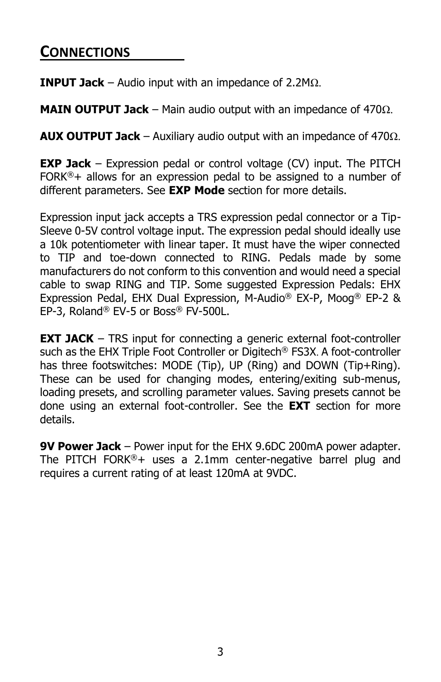#### **CONNECTIONS**

**INPUT Jack** – Audio input with an impedance of 2.2MΩ.

**MAIN OUTPUT Jack** – Main audio output with an impedance of 470Ω.

**AUX OUTPUT Jack** – Auxiliary audio output with an impedance of 470Ω.

**EXP Jack** – Expression pedal or control voltage (CV) input. The PITCH FORK<sup>®</sup>+ allows for an expression pedal to be assigned to a number of different parameters. See **EXP Mode** section for more details.

Expression input jack accepts a TRS expression pedal connector or a Tip-Sleeve 0-5V control voltage input. The expression pedal should ideally use a 10k potentiometer with linear taper. It must have the wiper connected to TIP and toe-down connected to RING. Pedals made by some manufacturers do not conform to this convention and would need a special cable to swap RING and TIP. Some suggested Expression Pedals: EHX Expression Pedal, EHX Dual Expression, M-Audio® EX-P, Moog® EP-2 & EP-3, Roland® EV-5 or Boss® FV-500L.

**EXT JACK** – TRS input for connecting a generic external foot-controller such as the EHX Triple Foot Controller or Digitech® FS3X. A foot-controller has three footswitches: MODE (Tip), UP (Ring) and DOWN (Tip+Ring). These can be used for changing modes, entering/exiting sub-menus, loading presets, and scrolling parameter values. Saving presets cannot be done using an external foot-controller. See the **EXT** section for more details.

**9V Power Jack** – Power input for the EHX 9.6DC 200mA power adapter. The PITCH FORK®+ uses a 2.1mm center-negative barrel plug and requires a current rating of at least 120mA at 9VDC.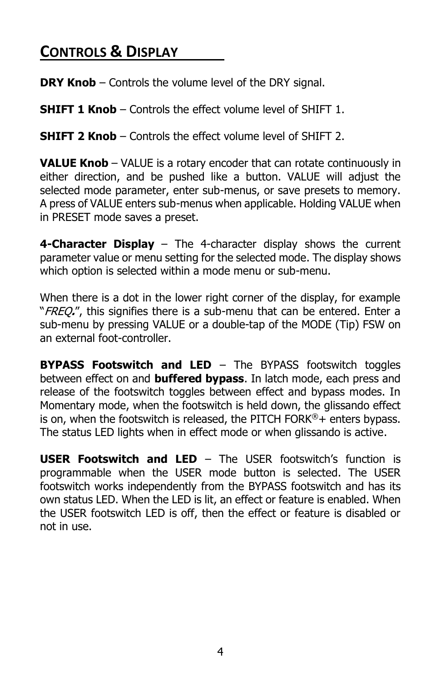## **CONTROLS & DISPLAY**

**DRY Knob** – Controls the volume level of the DRY signal.

**SHIFT 1 Knob** – Controls the effect volume level of SHIFT 1.

**SHIFT 2 Knob** – Controls the effect volume level of SHIFT 2.

**VALUE Knob** – VALUE is a rotary encoder that can rotate continuously in either direction, and be pushed like a button. VALUE will adjust the selected mode parameter, enter sub-menus, or save presets to memory. A press of VALUE enters sub-menus when applicable. Holding VALUE when in PRESET mode saves a preset.

**4-Character Display** – The 4-character display shows the current parameter value or menu setting for the selected mode. The display shows which option is selected within a mode menu or sub-menu.

When there is a dot in the lower right corner of the display, for example "FREQ**.**", this signifies there is a sub-menu that can be entered. Enter a sub-menu by pressing VALUE or a double-tap of the MODE (Tip) FSW on an external foot-controller.

**BYPASS Footswitch and LED** – The BYPASS footswitch toggles between effect on and **buffered bypass**. In latch mode, each press and release of the footswitch toggles between effect and bypass modes. In Momentary mode, when the footswitch is held down, the glissando effect is on, when the footswitch is released, the PITCH FORK®+ enters bypass. The status LED lights when in effect mode or when glissando is active.

**USER Footswitch and LED** – The USER footswitch's function is programmable when the USER mode button is selected. The USER footswitch works independently from the BYPASS footswitch and has its own status LED. When the LED is lit, an effect or feature is enabled. When the USER footswitch LED is off, then the effect or feature is disabled or not in use.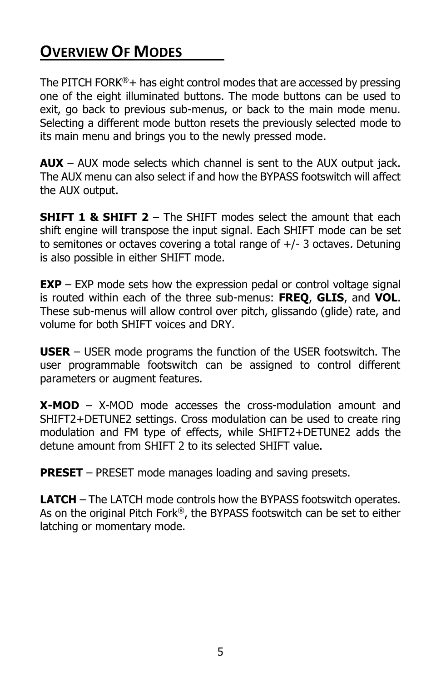## **OVERVIEW OF MODES**

The PITCH FORK $\mathbb{S}^+$  has eight control modes that are accessed by pressing one of the eight illuminated buttons. The mode buttons can be used to exit, go back to previous sub-menus, or back to the main mode menu. Selecting a different mode button resets the previously selected mode to its main menu and brings you to the newly pressed mode.

**AUX** – AUX mode selects which channel is sent to the AUX output jack. The AUX menu can also select if and how the BYPASS footswitch will affect the AUX output.

**SHIFT 1 & SHIFT 2** – The SHIFT modes select the amount that each shift engine will transpose the input signal. Each SHIFT mode can be set to semitones or octaves covering a total range of +/- 3 octaves. Detuning is also possible in either SHIFT mode.

**EXP** – EXP mode sets how the expression pedal or control voltage signal is routed within each of the three sub-menus: **FREQ**, **GLIS**, and **VOL**. These sub-menus will allow control over pitch, glissando (glide) rate, and volume for both SHIFT voices and DRY.

**USER** – USER mode programs the function of the USER footswitch. The user programmable footswitch can be assigned to control different parameters or augment features.

**X-MOD** – X-MOD mode accesses the cross-modulation amount and SHIFT2+DETUNE2 settings. Cross modulation can be used to create ring modulation and FM type of effects, while SHIFT2+DETUNE2 adds the detune amount from SHIFT 2 to its selected SHIFT value.

**PRESET** – PRESET mode manages loading and saving presets.

**LATCH** – The LATCH mode controls how the BYPASS footswitch operates. As on the original Pitch Fork®, the BYPASS footswitch can be set to either latching or momentary mode.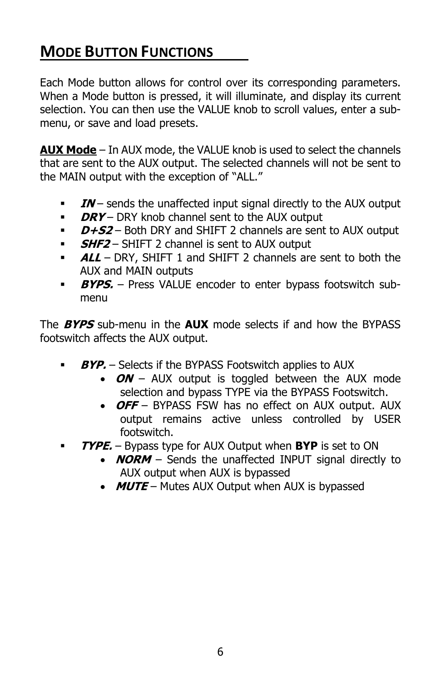## **MODE BUTTON FUNCTIONS**

Each Mode button allows for control over its corresponding parameters. When a Mode button is pressed, it will illuminate, and display its current selection. You can then use the VALUE knob to scroll values, enter a submenu, or save and load presets.

**AUX Mode** – In AUX mode, the VALUE knob is used to select the channels that are sent to the AUX output. The selected channels will not be sent to the MAIN output with the exception of "ALL."

- **IN** sends the unaffected input signal directly to the AUX output
- **DRY** DRY knob channel sent to the AUX output
- **D+S2** Both DRY and SHIFT 2 channels are sent to AUX output
- **SHF2** SHIFT 2 channel is sent to AUX output
- **ALL** DRY, SHIFT 1 and SHIFT 2 channels are sent to both the AUX and MAIN outputs
- **BYPS.** Press VALUE encoder to enter bypass footswitch submenu

The **BYPS** sub-menu in the **AUX** mode selects if and how the BYPASS footswitch affects the AUX output.

- **BYP.** Selects if the BYPASS Footswitch applies to AUX
	- **ON** AUX output is toggled between the AUX mode selection and bypass TYPE via the BYPASS Footswitch.
	- **OFF** BYPASS FSW has no effect on AUX output. AUX output remains active unless controlled by USER footswitch.
- **TYPE.** Bypass type for AUX Output when **BYP** is set to ON
	- **NORM** Sends the unaffected INPUT signal directly to AUX output when AUX is bypassed
	- **MUTE** Mutes AUX Output when AUX is bypassed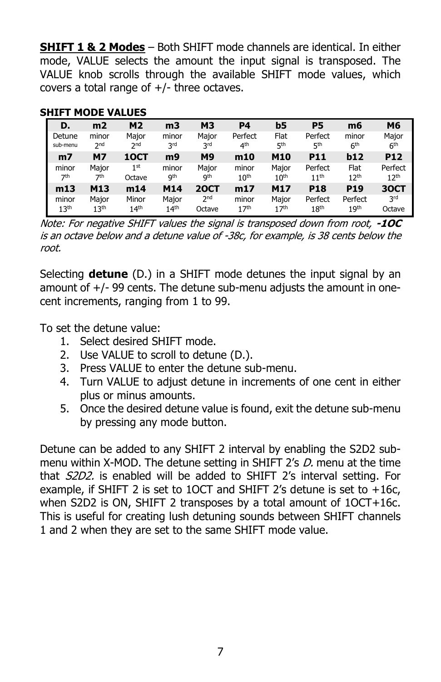**SHIFT 1 & 2 Modes** – Both SHIFT mode channels are identical. In either mode, VALUE selects the amount the input signal is transposed. The VALUE knob scrolls through the available SHIFT mode values, which covers a total range of  $+/-$  three octaves.

| D.               | m <sub>2</sub>   | <b>M2</b>        | m <sub>3</sub>   | <b>M3</b>       | P4               | b5               | P5               | m6               | M <sub>6</sub>   |
|------------------|------------------|------------------|------------------|-----------------|------------------|------------------|------------------|------------------|------------------|
| Detune           | minor            | Major            | minor            | Major           | Perfect          | Flat             | Perfect          | minor            | Major            |
| sub-menu         | 2 <sub>nd</sub>  | 2 <sub>nd</sub>  | 3rd              | 3rd             | 4 <sup>th</sup>  | 5 <sup>th</sup>  | 5 <sup>th</sup>  | 6 <sup>th</sup>  | 6 <sup>th</sup>  |
| m <sub>7</sub>   | <b>M7</b>        | 10CT             | m9               | M9              | m10              | M10              | <b>P11</b>       | b12              | <b>P12</b>       |
| minor            | Maior            | 1 <sup>st</sup>  | minor            | Maior           | minor            | Major            | Perfect          | Flat             | Perfect          |
| 7 <sup>th</sup>  | 7th              | Octave           | <b>gth</b>       | <b>gth</b>      | 10 <sup>th</sup> | 10 <sup>th</sup> | 11 <sup>th</sup> | 12 <sup>th</sup> | 12 <sup>th</sup> |
| m13              | M13              | m14              | M14              | <b>20CT</b>     | m17              | M17              | <b>P18</b>       | <b>P19</b>       | <b>30CT</b>      |
| minor            | Major            | Minor            | Major            | 2 <sup>nd</sup> | minor            | Major            | Perfect          | Perfect          | 3 <sup>rd</sup>  |
| 13 <sup>th</sup> | 13 <sup>th</sup> | 14 <sup>th</sup> | $14^{\text{th}}$ | Octave          | 17 <sup>th</sup> | 17 <sup>th</sup> | 18 <sup>th</sup> | 19 <sup>th</sup> | Octave           |

#### **SHIFT MODE VALUES**

Note: For negative SHIFT values the signal is transposed down from root, **-1OC** is an octave below and a detune value of -38c, for example, is 38 cents below the root.

Selecting **detune** (D.) in a SHIFT mode detunes the input signal by an amount of  $+/-$  99 cents. The detune sub-menu adjusts the amount in onecent increments, ranging from 1 to 99.

To set the detune value:

- 1. Select desired SHIFT mode.
- 2. Use VALUE to scroll to detune (D.).
- 3. Press VALUE to enter the detune sub-menu.
- 4. Turn VALUE to adjust detune in increments of one cent in either plus or minus amounts.
- 5. Once the desired detune value is found, exit the detune sub-menu by pressing any mode button.

Detune can be added to any SHIFT 2 interval by enabling the S2D2 submenu within X-MOD. The detune setting in SHIFT 2's D, menu at the time that S2D2. is enabled will be added to SHIFT 2's interval setting. For example, if SHIFT 2 is set to 1OCT and SHIFT 2's detune is set to +16c, when S2D2 is ON, SHIFT 2 transposes by a total amount of 1OCT+16c. This is useful for creating lush detuning sounds between SHIFT channels 1 and 2 when they are set to the same SHIFT mode value.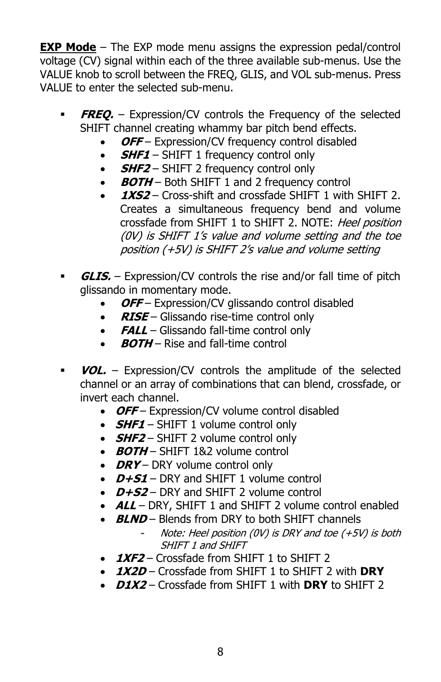**EXP Mode** – The EXP mode menu assigns the expression pedal/control voltage (CV) signal within each of the three available sub-menus. Use the VALUE knob to scroll between the FREQ, GLIS, and VOL sub-menus. Press VALUE to enter the selected sub-menu.

- **FREO.** Expression/CV controls the Frequency of the selected SHIFT channel creating whammy bar pitch bend effects.
	- **OFF** Expression/CV frequency control disabled
	- **SHF1** SHIFT 1 frequency control only
	- **SHF2** SHIFT 2 frequency control only
	- **BOTH** Both SHIFT 1 and 2 frequency control
	- 1XS2 Cross-shift and crossfade SHIFT 1 with SHIFT 2. Creates a simultaneous frequency bend and volume crossfade from SHIFT 1 to SHIFT 2. NOTE: Heel position (0V) is SHIFT 1's value and volume setting and the toe position (+5V) is SHIFT 2's value and volume setting
- **GLIS.** Expression/CV controls the rise and/or fall time of pitch glissando in momentary mode.
	- OFF Expression/CV glissando control disabled
	- **RISE** Glissando rise-time control only
	- **FALL** Glissando fall-time control only
	- **BOTH** Rise and fall-time control
- **VOL.** Expression/CV controls the amplitude of the selected channel or an array of combinations that can blend, crossfade, or invert each channel.
	- OFF Expression/CV volume control disabled
	- **SHF1** SHIFT 1 volume control only
	- *SHF2* SHIFT 2 volume control only
	- **BOTH** SHIFT 1&2 volume control
	- **DRY** DRY volume control only
	- **D+S1** DRY and SHIFT 1 volume control
	- **D+S2** DRY and SHIFT 2 volume control
	- **ALL** DRY, SHIFT 1 and SHIFT 2 volume control enabled
	- **BLND** Blends from DRY to both SHIFT channels
		- Note: Heel position (0V) is DRY and toe  $(+5V)$  is both SHIFT 1 and SHIFT
	- **1XF2** Crossfade from SHIFT 1 to SHIFT 2
	- **1X2D** Crossfade from SHIFT 1 to SHIFT 2 with **DRY**
	- **D1X2** Crossfade from SHIFT 1 with **DRY** to SHIFT 2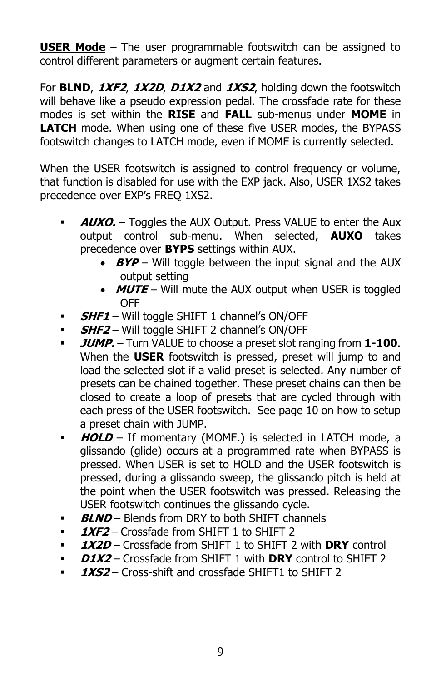**USER Mode** – The user programmable footswitch can be assigned to control different parameters or augment certain features.

For **BLND**, **1XF2**, **1X2D**, **D1X2** and **1XS2**, holding down the footswitch will behave like a pseudo expression pedal. The crossfade rate for these modes is set within the **RISE** and **FALL** sub-menus under **MOME** in **LATCH** mode. When using one of these five USER modes, the BYPASS footswitch changes to LATCH mode, even if MOME is currently selected.

When the USER footswitch is assigned to control frequency or volume, that function is disabled for use with the EXP jack. Also, USER 1XS2 takes precedence over EXP's FREQ 1XS2.

- **AUXO.** Toggles the AUX Output. Press VALUE to enter the Aux output control sub-menu. When selected, **AUXO** takes precedence over **BYPS** settings within AUX.
	- **BYP** Will toggle between the input signal and the AUX output setting
	- **MUTE** Will mute the AUX output when USER is toggled OFF
- **SHF1** Will toggle SHIFT 1 channel's ON/OFF
- **SHF2** Will toggle SHIFT 2 channel's ON/OFF
- **JUMP.** Turn VALUE to choose a preset slot ranging from **1-100**. When the **USER** footswitch is pressed, preset will jump to and load the selected slot if a valid preset is selected. Any number of presets can be chained together. These preset chains can then be closed to create a loop of presets that are cycled through with each press of the USER footswitch. See page 10 on how to setup a preset chain with JUMP.
- **HOLD** If momentary (MOME.) is selected in LATCH mode, a glissando (glide) occurs at a programmed rate when BYPASS is pressed. When USER is set to HOLD and the USER footswitch is pressed, during a glissando sweep, the glissando pitch is held at the point when the USER footswitch was pressed. Releasing the USER footswitch continues the glissando cycle.
- **BLND** Blends from DRY to both SHIFT channels
- **1XF2** Crossfade from SHIFT 1 to SHIFT 2
- **1X2D** Crossfade from SHIFT 1 to SHIFT 2 with **DRY** control
- **D1X2** Crossfade from SHIFT 1 with **DRY** control to SHIFT 2
- **1XS2** Cross-shift and crossfade SHIFT1 to SHIFT 2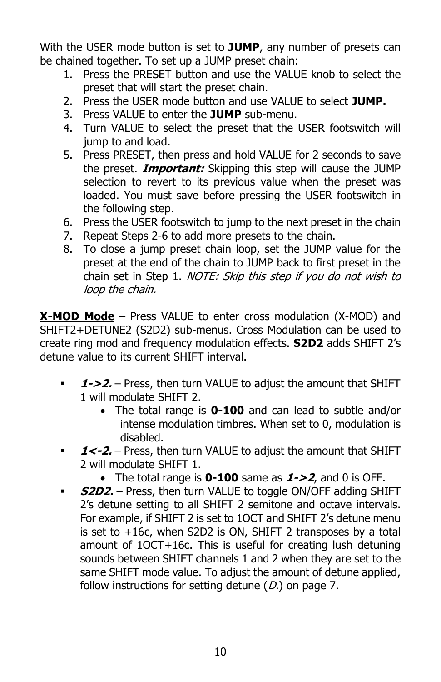With the USER mode button is set to **JUMP**, any number of presets can be chained together. To set up a JUMP preset chain:

- 1. Press the PRESET button and use the VALUE knob to select the preset that will start the preset chain.
- 2. Press the USER mode button and use VALUE to select **JUMP.**
- 3. Press VALUE to enter the **JUMP** sub-menu.
- 4. Turn VALUE to select the preset that the USER footswitch will jump to and load.
- 5. Press PRESET, then press and hold VALUE for 2 seconds to save the preset. **Important:** Skipping this step will cause the JUMP selection to revert to its previous value when the preset was loaded. You must save before pressing the USER footswitch in the following step.
- 6. Press the USER footswitch to jump to the next preset in the chain
- 7. Repeat Steps 2-6 to add more presets to the chain.
- 8. To close a jump preset chain loop, set the JUMP value for the preset at the end of the chain to JUMP back to first preset in the chain set in Step 1. NOTE: Skip this step if you do not wish to loop the chain.

**X-MOD Mode** – Press VALUE to enter cross modulation (X-MOD) and SHIFT2+DETUNE2 (S2D2) sub-menus. Cross Modulation can be used to create ring mod and frequency modulation effects. **S2D2** adds SHIFT 2's detune value to its current SHIFT interval.

- **1->2.** Press, then turn VALUE to adjust the amount that SHIFT 1 will modulate SHIFT 2.
	- The total range is **0-100** and can lead to subtle and/or intense modulation timbres. When set to 0, modulation is disabled.
- **1<-2.** Press, then turn VALUE to adjust the amount that SHIFT 2 will modulate SHIFT 1.
	- The total range is **0-100** same as **1->2**, and 0 is OFF.
- **S2D2.** Press, then turn VALUE to toggle ON/OFF adding SHIFT 2's detune setting to all SHIFT 2 semitone and octave intervals. For example, if SHIFT 2 is set to 1OCT and SHIFT 2's detune menu is set to +16c, when S2D2 is ON, SHIFT 2 transposes by a total amount of 1OCT+16c. This is useful for creating lush detuning sounds between SHIFT channels 1 and 2 when they are set to the same SHIFT mode value. To adjust the amount of detune applied, follow instructions for setting detune  $(D)$  on page 7.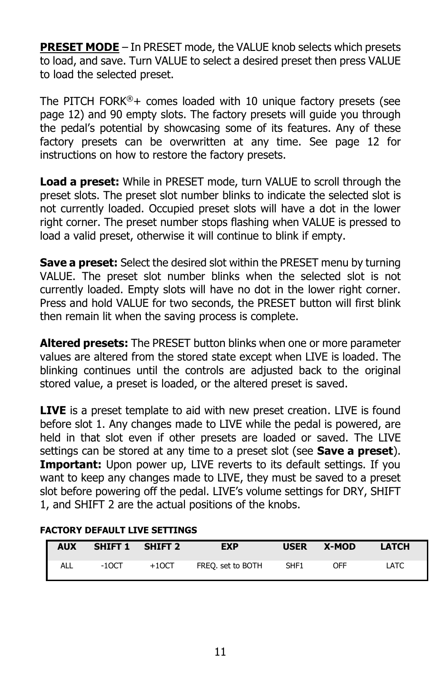**PRESET MODE** – In PRESET mode, the VALUE knob selects which presets to load, and save. Turn VALUE to select a desired preset then press VALUE to load the selected preset.

The PITCH FORK<sup>®</sup>+ comes loaded with 10 unique factory presets (see page 12) and 90 empty slots. The factory presets will guide you through the pedal's potential by showcasing some of its features. Any of these factory presets can be overwritten at any time. See page 12 for instructions on how to restore the factory presets.

**Load a preset:** While in PRESET mode, turn VALUE to scroll through the preset slots. The preset slot number blinks to indicate the selected slot is not currently loaded. Occupied preset slots will have a dot in the lower right corner. The preset number stops flashing when VALUE is pressed to load a valid preset, otherwise it will continue to blink if empty.

**Save a preset:** Select the desired slot within the PRESET menu by turning VALUE. The preset slot number blinks when the selected slot is not currently loaded. Empty slots will have no dot in the lower right corner. Press and hold VALUE for two seconds, the PRESET button will first blink then remain lit when the saving process is complete.

**Altered presets:** The PRESET button blinks when one or more parameter values are altered from the stored state except when LIVE is loaded. The blinking continues until the controls are adjusted back to the original stored value, a preset is loaded, or the altered preset is saved.

**LIVE** is a preset template to aid with new preset creation. LIVE is found before slot 1. Any changes made to LIVE while the pedal is powered, are held in that slot even if other presets are loaded or saved. The LIVE settings can be stored at any time to a preset slot (see **Save a preset**). **Important:** Upon power up, LIVE reverts to its default settings. If you want to keep any changes made to LIVE, they must be saved to a preset slot before powering off the pedal. LIVE's volume settings for DRY, SHIFT 1, and SHIFT 2 are the actual positions of the knobs.

| <b>AUX</b> | SHIFT 1 | SHIFT 2 | <b>EXP</b>        | <b>USER</b> | X-MOD | <b>LATCH</b> |
|------------|---------|---------|-------------------|-------------|-------|--------------|
| ALL        | $-10CT$ | $+10CT$ | FREQ. set to BOTH | SHF1        | OFF   | LATC         |

#### **FACTORY DEFAULT LIVE SETTINGS**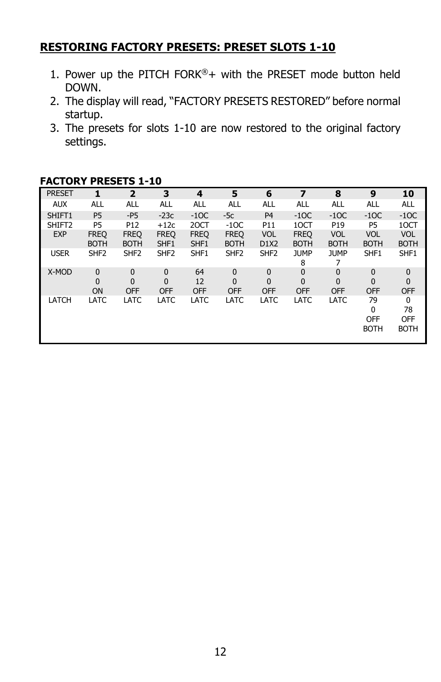#### **RESTORING FACTORY PRESETS: PRESET SLOTS 1-10**

- 1. Power up the PITCH FORK®+ with the PRESET mode button held DOWN.
- 2. The display will read, "FACTORY PRESETS RESTORED" before normal startup.
- 3. The presets for slots 1-10 are now restored to the original factory settings.

| <b>PRESET</b>      | 1                          | $\overline{2}$             | 3                               | 4                      | 5                                     | 6                              | 7                          | 8                                          | 9                                           | 10                                        |
|--------------------|----------------------------|----------------------------|---------------------------------|------------------------|---------------------------------------|--------------------------------|----------------------------|--------------------------------------------|---------------------------------------------|-------------------------------------------|
| <b>AUX</b>         | ALL                        | <b>ALL</b>                 | ALL                             | ALL                    | <b>ALL</b>                            | <b>ALL</b>                     | <b>ALL</b>                 | <b>ALL</b>                                 | <b>ALL</b>                                  | ALL                                       |
| SHIFT1             | P <sub>5</sub>             | $-P5$                      | $-23c$                          | $-10C$                 | $-5c$                                 | P <sub>4</sub>                 | $-1OC$                     | $-1OC$                                     | $-1OC$                                      | $-1OC$                                    |
| SHIFT <sub>2</sub> | P <sub>5</sub>             | P <sub>12</sub>            | $+12c$                          | 20CT                   | $-1OC$                                | P11                            | 10CT                       | P19                                        | P <sub>5</sub>                              | 10CT                                      |
| <b>EXP</b>         | <b>FREQ</b><br><b>BOTH</b> | <b>FREQ</b><br><b>BOTH</b> | <b>FREQ</b><br>SHF1             | <b>FREQ</b><br>SHF1    | <b>FREQ</b><br><b>BOTH</b>            | <b>VOL</b><br>D1X2             | <b>FREQ</b><br><b>BOTH</b> | <b>VOL</b><br><b>BOTH</b>                  | <b>VOL</b><br><b>BOTH</b>                   | <b>VOL</b><br><b>BOTH</b>                 |
| <b>USER</b>        | SHF <sub>2</sub>           | SHF <sub>2</sub>           | SHF <sub>2</sub>                | SHF1                   | SHF <sub>2</sub>                      | SHF <sub>2</sub>               | <b>JUMP</b><br>8           | <b>JUMP</b>                                | SHF1                                        | SHF1                                      |
| X-MOD              | $\mathbf{0}$<br>0<br>ON    | 0<br>0<br><b>OFF</b>       | 0<br>$\mathbf{0}$<br><b>OFF</b> | 64<br>12<br><b>OFF</b> | $\mathbf 0$<br>$\Omega$<br><b>OFF</b> | 0<br>$\mathbf 0$<br><b>OFF</b> | 0<br>0<br><b>OFF</b>       | $\mathbf{0}$<br>$\mathbf{0}$<br><b>OFF</b> | $\mathbf{0}$<br>$\mathbf{0}$<br><b>OFF</b>  | $\mathbf 0$<br>$\mathbf{0}$<br><b>OFF</b> |
| LATCH              | LATC                       | LATC                       | <b>LATC</b>                     | LATC                   | LATC                                  | <b>LATC</b>                    | LATC                       | LATC                                       | 79<br>$\Omega$<br><b>OFF</b><br><b>BOTH</b> | 0<br>78<br><b>OFF</b><br><b>BOTH</b>      |

#### **FACTORY PRESETS 1-10**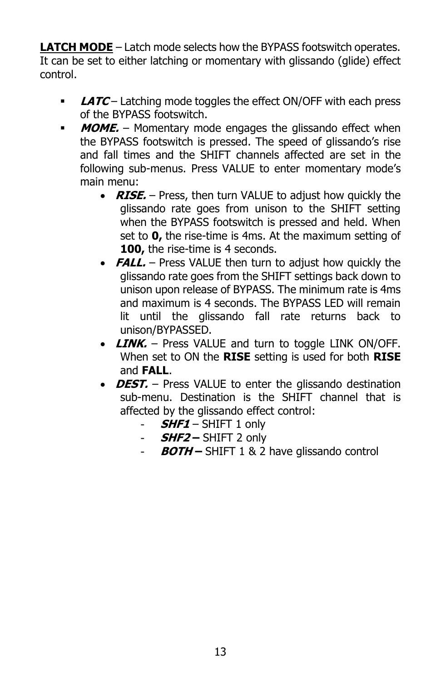**LATCH MODE** – Latch mode selects how the BYPASS footswitch operates. It can be set to either latching or momentary with glissando (glide) effect control.

- **LATC** Latching mode toggles the effect ON/OFF with each press of the BYPASS footswitch.
- **MOME.** Momentary mode engages the glissando effect when the BYPASS footswitch is pressed. The speed of glissando's rise and fall times and the SHIFT channels affected are set in the following sub-menus. Press VALUE to enter momentary mode's main menu:
	- **RISE.** Press, then turn VALUE to adjust how quickly the glissando rate goes from unison to the SHIFT setting when the BYPASS footswitch is pressed and held. When set to **0,** the rise-time is 4ms. At the maximum setting of **100, the rise-time is 4 seconds.**
	- **FALL.** Press VALUE then turn to adjust how quickly the glissando rate goes from the SHIFT settings back down to unison upon release of BYPASS. The minimum rate is 4ms and maximum is 4 seconds. The BYPASS LED will remain lit until the glissando fall rate returns back to unison/BYPASSED.
	- **LINK.** Press VALUE and turn to toggle LINK ON/OFF. When set to ON the **RISE** setting is used for both **RISE** and **FALL**.
	- **DEST.** Press VALUE to enter the glissando destination sub-menu. Destination is the SHIFT channel that is affected by the glissando effect control:
		- **SHF1** SHIFT 1 only
		- **SHF2 –** SHIFT 2 only
		- **BOTH –** SHIFT 1 & 2 have glissando control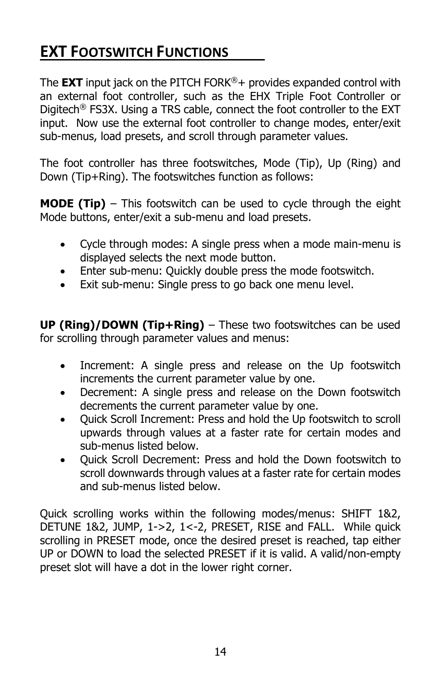## **EXT FOOTSWITCH FUNCTIONS**

The **EXT** input jack on the PITCH FORK®+ provides expanded control with an external foot controller, such as the EHX Triple Foot Controller or Digitech® FS3X. Using a TRS cable, connect the foot controller to the EXT input. Now use the external foot controller to change modes, enter/exit sub-menus, load presets, and scroll through parameter values.

The foot controller has three footswitches, Mode (Tip), Up (Ring) and Down (Tip+Ring). The footswitches function as follows:

**MODE (Tip)** – This footswitch can be used to cycle through the eight Mode buttons, enter/exit a sub-menu and load presets.

- Cycle through modes: A single press when a mode main-menu is displayed selects the next mode button.
- Enter sub-menu: Quickly double press the mode footswitch.
- Exit sub-menu: Single press to go back one menu level.

**UP (Ring)/DOWN (Tip+Ring)** – These two footswitches can be used for scrolling through parameter values and menus:

- Increment: A single press and release on the Up footswitch increments the current parameter value by one.
- Decrement: A single press and release on the Down footswitch decrements the current parameter value by one.
- Quick Scroll Increment: Press and hold the Up footswitch to scroll upwards through values at a faster rate for certain modes and sub-menus listed below.
- Quick Scroll Decrement: Press and hold the Down footswitch to scroll downwards through values at a faster rate for certain modes and sub-menus listed below.

Quick scrolling works within the following modes/menus: SHIFT 1&2, DETUNE 1&2, JUMP, 1->2, 1<-2, PRESET, RISE and FALL. While quick scrolling in PRESET mode, once the desired preset is reached, tap either UP or DOWN to load the selected PRESET if it is valid. A valid/non-empty preset slot will have a dot in the lower right corner.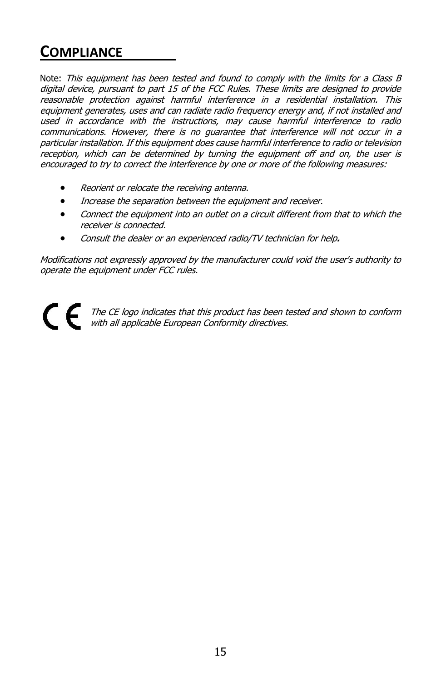## **COMPLIANCE**

Note: This equipment has been tested and found to comply with the limits for a Class B digital device, pursuant to part 15 of the FCC Rules. These limits are designed to provide reasonable protection against harmful interference in a residential installation. This equipment generates, uses and can radiate radio frequency energy and, if not installed and used in accordance with the instructions, may cause harmful interference to radio communications. However, there is no guarantee that interference will not occur in a particular installation. If this equipment does cause harmful interference to radio or television reception, which can be determined by turning the equipment off and on, the user is encouraged to try to correct the interference by one or more of the following measures:

- Reorient or relocate the receiving antenna.
- Increase the separation between the equipment and receiver.
- Connect the equipment into an outlet on a circuit different from that to which the receiver is connected.
- Consult the dealer or an experienced radio/TV technician for help**.**

Modifications not expressly approved by the manufacturer could void the user's authority to operate the equipment under FCC rules.

CE The CE logo indicates that this product has been tested and shown to conform with all applicable European Conformity directives.